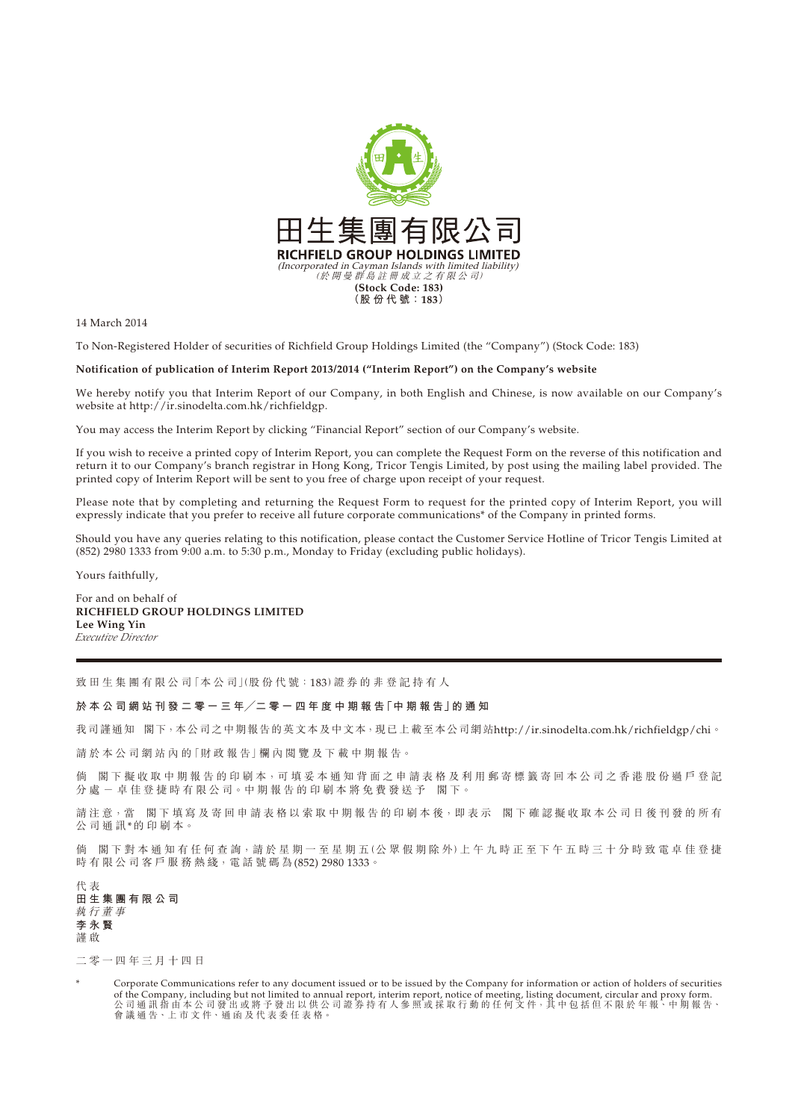

14 March 2014

To Non-Registered Holder of securities of Richfield Group Holdings Limited (the "Company") (Stock Code: 183)

**Notification of publication of Interim Report 2013/2014 ("Interim Report") on the Company's website**

We hereby notify you that Interim Report of our Company, in both English and Chinese, is now available on our Company's website at http://ir.sinodelta.com.hk/richfieldgp.

You may access the Interim Report by clicking "Financial Report" section of our Company's website.

If you wish to receive a printed copy of Interim Report, you can complete the Request Form on the reverse of this notification and return it to our Company's branch registrar in Hong Kong, Tricor Tengis Limited, by post using the mailing label provided. The printed copy of Interim Report will be sent to you free of charge upon receipt of your request.

Please note that by completing and returning the Request Form to request for the printed copy of Interim Report, you will expressly indicate that you prefer to receive all future corporate communications\* of the Company in printed forms.

Should you have any queries relating to this notification, please contact the Customer Service Hotline of Tricor Tengis Limited at (852) 2980 1333 from 9:00 a.m. to 5:30 p.m., Monday to Friday (excluding public holidays).

Yours faithfully,

For and on behalf of **RICHFIELD GROUP HOLDINGS LIMITED Lee Wing Yin** *Executive Director*

致田生集團有限公司「本公司」(股份代號:183)證券的非登記持有人

## **於 本 公 司 網 站 刊 發 二 零 一 三 年╱二 零 一 四 年 度 中 期 報 告「中 期 報 告」的 通 知**

我司謹通知 閣下,本公司之中期報告的英文本及中文本,現已上載至本公司網站http://ir.sinodelta.com.hk/richfieldgp/chi。

請於本公司網站內的「財政報告」欄內閱覽及下載中期報告。

倘 閣下擬收取中期報告的印刷本,可填妥本通知背面之申請表格及利用郵寄標籤寄回本公司之香港股份過戶登記 分 處 - 卓 佳 登 捷 時 有 限 公 司。中 期 報 告 的 印 刷 本 將 免 費 發 送 予 閣 下。

請注意,當 閣下填寫及寄回申請表格以索取中期報告的印刷本後,即表示 閣下確認擬收取本公司日後刊發的所有 公司通訊\*的印刷本。

倘 閣下對本通知有任何查詢,請於星期一至星期五(公眾假期除外)上午九時正至下午五時三十分時致電卓佳登捷 時 有 限 公 司 客 戶 服 務 熱 綫, 電 話 號 碼 為 (852) 2980 1333。

代 表 **田生集團有限公司** 執行董事 **李永賢** 謹 啟

二零一四年三月十四日

Corporate Communications refer to any document issued or to be issued by the Company for information or action of holders of securities of the Company, including but not limited to annual report, interim report, notice of meeting, listing document, circular and proxy form. 公 司 通 計 指 由 本 公 司 發 出 或 將 予 發 出 以 供 公 司 證 券 持 有 人 參 照 或 採 取 行 動 的 任 何 文 件,其 中 包 括 但 不 限 於 年 報、中 期 報 告、 會 議 通 告、上 市 文 件、通 函 及 代 表 委 任 表 格。